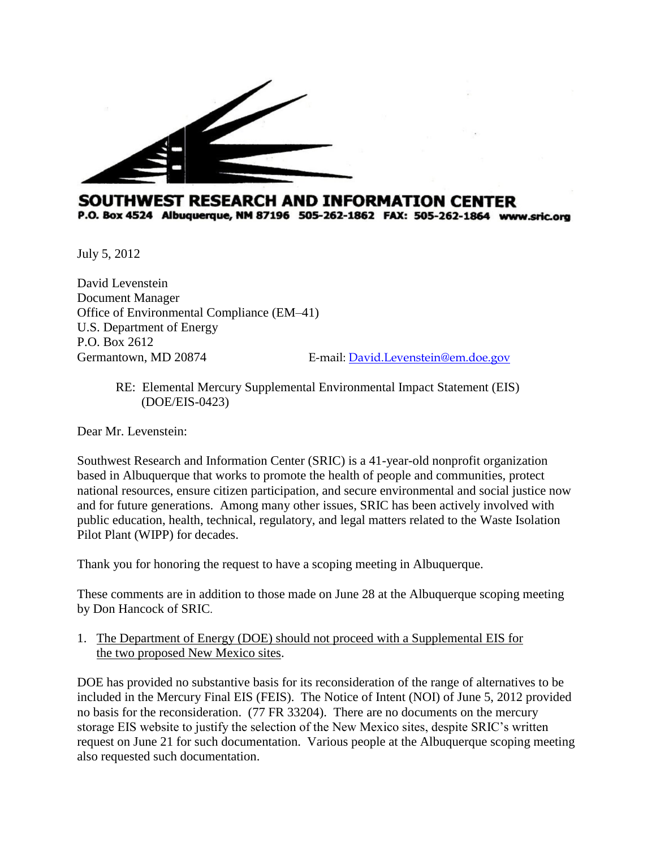

## SOUTHWEST RESEARCH AND INFORMATION CENTER P.O. Box 4524 Albuquerque, NM 87196 505-262-1862 FAX: 505-262-1864 www.sric.org

July 5, 2012

David Levenstein Document Manager Office of Environmental Compliance (EM–41) U.S. Department of Energy P.O. Box 2612 Germantown, MD 20874 E-mail: David.Levenstein@em.doe.gov

> RE: Elemental Mercury Supplemental Environmental Impact Statement (EIS) (DOE/EIS-0423)

Dear Mr. Levenstein:

Southwest Research and Information Center (SRIC) is a 41-year-old nonprofit organization based in Albuquerque that works to promote the health of people and communities, protect national resources, ensure citizen participation, and secure environmental and social justice now and for future generations. Among many other issues, SRIC has been actively involved with public education, health, technical, regulatory, and legal matters related to the Waste Isolation Pilot Plant (WIPP) for decades.

Thank you for honoring the request to have a scoping meeting in Albuquerque.

These comments are in addition to those made on June 28 at the Albuquerque scoping meeting by Don Hancock of SRIC.

1. The Department of Energy (DOE) should not proceed with a Supplemental EIS for the two proposed New Mexico sites.

DOE has provided no substantive basis for its reconsideration of the range of alternatives to be included in the Mercury Final EIS (FEIS). The Notice of Intent (NOI) of June 5, 2012 provided no basis for the reconsideration. (77 FR 33204). There are no documents on the mercury storage EIS website to justify the selection of the New Mexico sites, despite SRIC's written request on June 21 for such documentation. Various people at the Albuquerque scoping meeting also requested such documentation.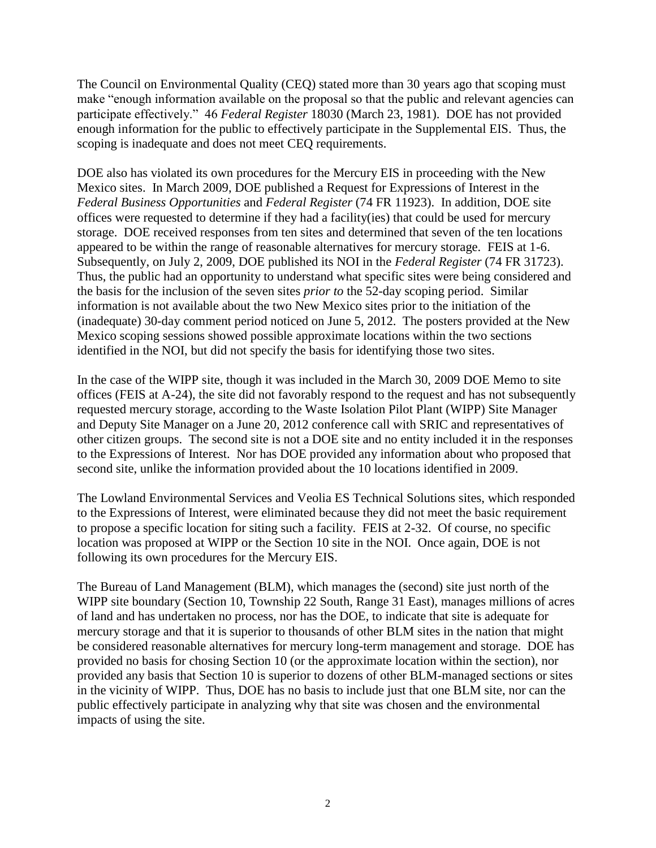The Council on Environmental Quality (CEQ) stated more than 30 years ago that scoping must make "enough information available on the proposal so that the public and relevant agencies can participate effectively." 46 *Federal Register* 18030 (March 23, 1981). DOE has not provided enough information for the public to effectively participate in the Supplemental EIS. Thus, the scoping is inadequate and does not meet CEQ requirements.

DOE also has violated its own procedures for the Mercury EIS in proceeding with the New Mexico sites. In March 2009, DOE published a Request for Expressions of Interest in the *Federal Business Opportunities* and *Federal Register* (74 FR 11923). In addition, DOE site offices were requested to determine if they had a facility(ies) that could be used for mercury storage. DOE received responses from ten sites and determined that seven of the ten locations appeared to be within the range of reasonable alternatives for mercury storage. FEIS at 1-6. Subsequently, on July 2, 2009, DOE published its NOI in the *Federal Register* (74 FR 31723). Thus, the public had an opportunity to understand what specific sites were being considered and the basis for the inclusion of the seven sites *prior to* the 52-day scoping period. Similar information is not available about the two New Mexico sites prior to the initiation of the (inadequate) 30-day comment period noticed on June 5, 2012. The posters provided at the New Mexico scoping sessions showed possible approximate locations within the two sections identified in the NOI, but did not specify the basis for identifying those two sites.

In the case of the WIPP site, though it was included in the March 30, 2009 DOE Memo to site offices (FEIS at A-24), the site did not favorably respond to the request and has not subsequently requested mercury storage, according to the Waste Isolation Pilot Plant (WIPP) Site Manager and Deputy Site Manager on a June 20, 2012 conference call with SRIC and representatives of other citizen groups. The second site is not a DOE site and no entity included it in the responses to the Expressions of Interest. Nor has DOE provided any information about who proposed that second site, unlike the information provided about the 10 locations identified in 2009.

The Lowland Environmental Services and Veolia ES Technical Solutions sites, which responded to the Expressions of Interest, were eliminated because they did not meet the basic requirement to propose a specific location for siting such a facility. FEIS at 2-32. Of course, no specific location was proposed at WIPP or the Section 10 site in the NOI. Once again, DOE is not following its own procedures for the Mercury EIS.

The Bureau of Land Management (BLM), which manages the (second) site just north of the WIPP site boundary (Section 10, Township 22 South, Range 31 East), manages millions of acres of land and has undertaken no process, nor has the DOE, to indicate that site is adequate for mercury storage and that it is superior to thousands of other BLM sites in the nation that might be considered reasonable alternatives for mercury long-term management and storage. DOE has provided no basis for chosing Section 10 (or the approximate location within the section), nor provided any basis that Section 10 is superior to dozens of other BLM-managed sections or sites in the vicinity of WIPP. Thus, DOE has no basis to include just that one BLM site, nor can the public effectively participate in analyzing why that site was chosen and the environmental impacts of using the site.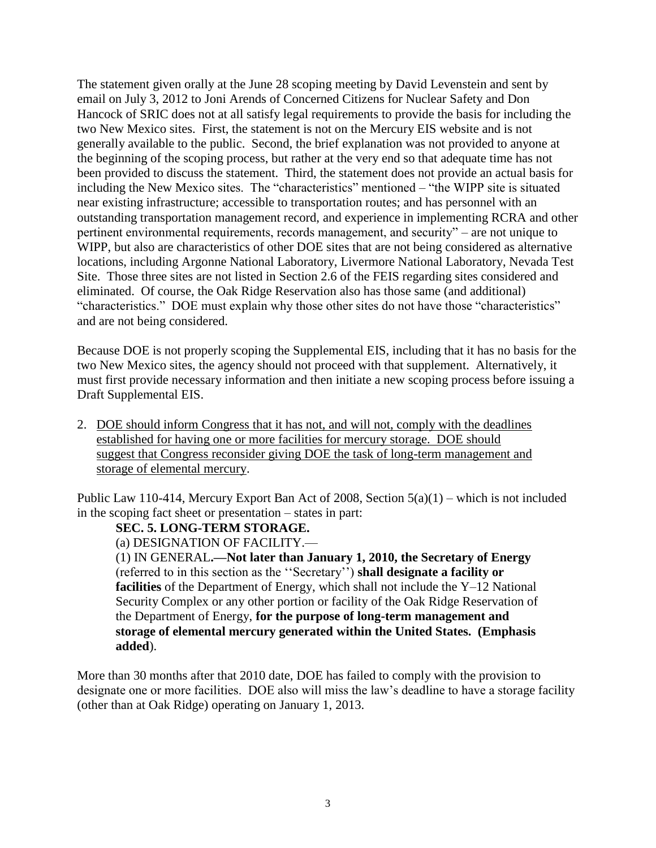The statement given orally at the June 28 scoping meeting by David Levenstein and sent by email on July 3, 2012 to Joni Arends of Concerned Citizens for Nuclear Safety and Don Hancock of SRIC does not at all satisfy legal requirements to provide the basis for including the two New Mexico sites. First, the statement is not on the Mercury EIS website and is not generally available to the public. Second, the brief explanation was not provided to anyone at the beginning of the scoping process, but rather at the very end so that adequate time has not been provided to discuss the statement. Third, the statement does not provide an actual basis for including the New Mexico sites. The "characteristics" mentioned – "the WIPP site is situated near existing infrastructure; accessible to transportation routes; and has personnel with an outstanding transportation management record, and experience in implementing RCRA and other pertinent environmental requirements, records management, and security" – are not unique to WIPP, but also are characteristics of other DOE sites that are not being considered as alternative locations, including Argonne National Laboratory, Livermore National Laboratory, Nevada Test Site. Those three sites are not listed in Section 2.6 of the FEIS regarding sites considered and eliminated. Of course, the Oak Ridge Reservation also has those same (and additional) "characteristics." DOE must explain why those other sites do not have those "characteristics" and are not being considered.

Because DOE is not properly scoping the Supplemental EIS, including that it has no basis for the two New Mexico sites, the agency should not proceed with that supplement. Alternatively, it must first provide necessary information and then initiate a new scoping process before issuing a Draft Supplemental EIS.

2. DOE should inform Congress that it has not, and will not, comply with the deadlines established for having one or more facilities for mercury storage. DOE should suggest that Congress reconsider giving DOE the task of long-term management and storage of elemental mercury.

Public Law 110-414, Mercury Export Ban Act of 2008, Section 5(a)(1) – which is not included in the scoping fact sheet or presentation – states in part:

#### **SEC. 5. LONG-TERM STORAGE.**

(a) DESIGNATION OF FACILITY.—

(1) IN GENERAL**.—Not later than January 1, 2010, the Secretary of Energy**  (referred to in this section as the ''Secretary'') **shall designate a facility or facilities** of the Department of Energy, which shall not include the Y–12 National Security Complex or any other portion or facility of the Oak Ridge Reservation of the Department of Energy, **for the purpose of long-term management and storage of elemental mercury generated within the United States. (Emphasis added**).

More than 30 months after that 2010 date, DOE has failed to comply with the provision to designate one or more facilities. DOE also will miss the law's deadline to have a storage facility (other than at Oak Ridge) operating on January 1, 2013.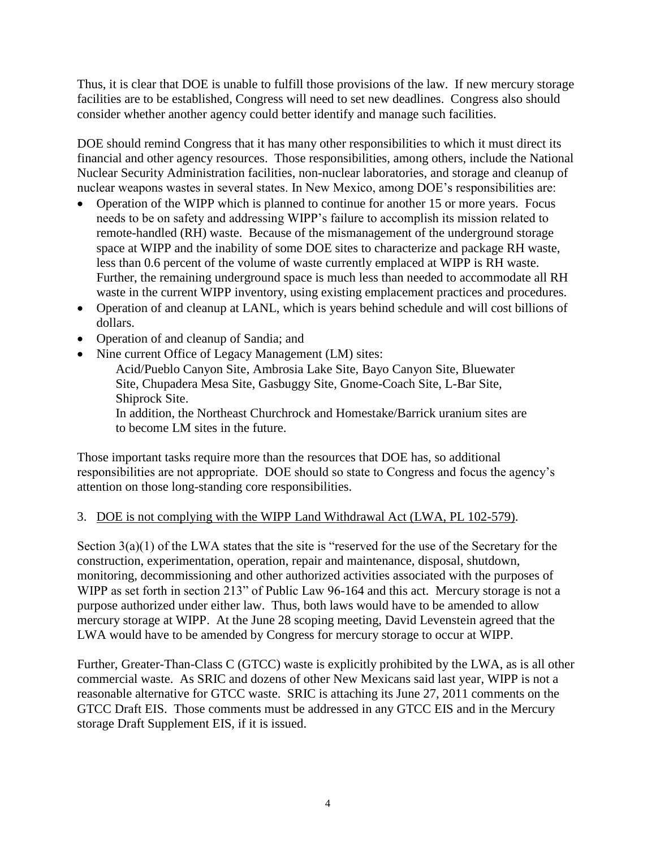Thus, it is clear that DOE is unable to fulfill those provisions of the law. If new mercury storage facilities are to be established, Congress will need to set new deadlines. Congress also should consider whether another agency could better identify and manage such facilities.

DOE should remind Congress that it has many other responsibilities to which it must direct its financial and other agency resources. Those responsibilities, among others, include the National Nuclear Security Administration facilities, non-nuclear laboratories, and storage and cleanup of nuclear weapons wastes in several states. In New Mexico, among DOE's responsibilities are:

- Operation of the WIPP which is planned to continue for another 15 or more years. Focus needs to be on safety and addressing WIPP's failure to accomplish its mission related to remote-handled (RH) waste. Because of the mismanagement of the underground storage space at WIPP and the inability of some DOE sites to characterize and package RH waste, less than 0.6 percent of the volume of waste currently emplaced at WIPP is RH waste. Further, the remaining underground space is much less than needed to accommodate all RH waste in the current WIPP inventory, using existing emplacement practices and procedures.
- Operation of and cleanup at LANL, which is years behind schedule and will cost billions of dollars.
- Operation of and cleanup of Sandia; and
- Nine current Office of Legacy Management (LM) sites:

[Acid/Pueblo Canyon Site,](/Acid/Sites.aspx) [Ambrosia Lake Site,](/Ambrosia/Sites.aspx) [Bayo Canyon Site,](/Bayo/Sites.aspx) [Bluewater](/Bluewater/Sites.aspx)  [Site,](/Bluewater/Sites.aspx) [Chupadera Mesa Site,](/Chupadera/Sites.aspx) [Gasbuggy Site,](/Gasbuggy/Sites.aspx) [Gnome-Coach Site,](/Gnome/Sites.aspx) [L-Bar Site,](/Lbar/Sites.aspx) [Shiprock Site.](/Shiprock/Sites.aspx)

In addition, the Northeast Churchrock and Homestake/Barrick uranium sites are to become LM sites in the future.

Those important tasks require more than the resources that DOE has, so additional responsibilities are not appropriate. DOE should so state to Congress and focus the agency's attention on those long-standing core responsibilities.

## 3. DOE is not complying with the WIPP Land Withdrawal Act (LWA, PL 102-579).

Section 3(a)(1) of the LWA states that the site is "reserved for the use of the Secretary for the construction, experimentation, operation, repair and maintenance, disposal, shutdown, monitoring, decommissioning and other authorized activities associated with the purposes of WIPP as set forth in section 213" of Public Law 96-164 and this act. Mercury storage is not a purpose authorized under either law. Thus, both laws would have to be amended to allow mercury storage at WIPP. At the June 28 scoping meeting, David Levenstein agreed that the LWA would have to be amended by Congress for mercury storage to occur at WIPP.

Further, Greater-Than-Class C (GTCC) waste is explicitly prohibited by the LWA, as is all other commercial waste. As SRIC and dozens of other New Mexicans said last year, WIPP is not a reasonable alternative for GTCC waste. SRIC is attaching its June 27, 2011 comments on the GTCC Draft EIS. Those comments must be addressed in any GTCC EIS and in the Mercury storage Draft Supplement EIS, if it is issued.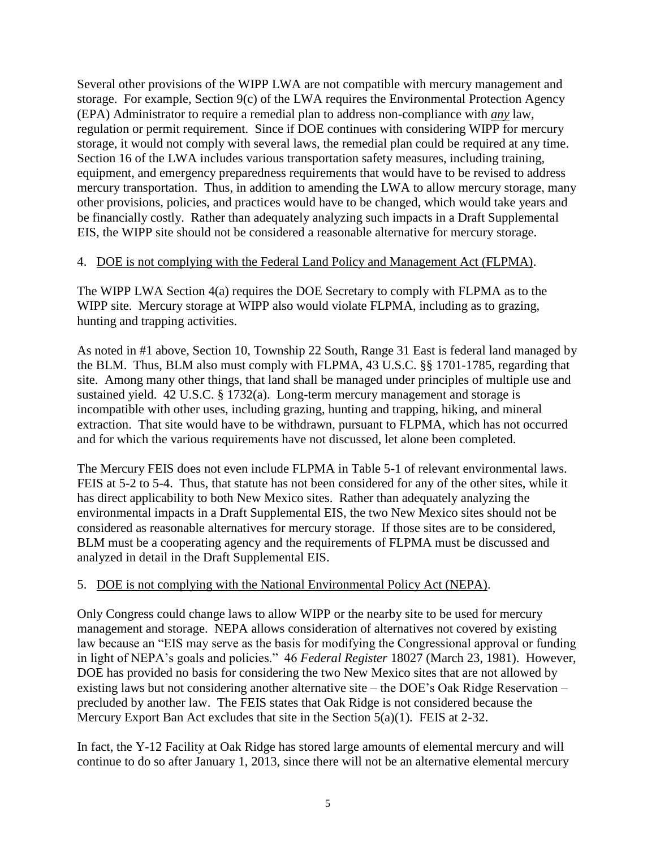Several other provisions of the WIPP LWA are not compatible with mercury management and storage. For example, Section 9(c) of the LWA requires the Environmental Protection Agency (EPA) Administrator to require a remedial plan to address non-compliance with *any* law, regulation or permit requirement. Since if DOE continues with considering WIPP for mercury storage, it would not comply with several laws, the remedial plan could be required at any time. Section 16 of the LWA includes various transportation safety measures, including training, equipment, and emergency preparedness requirements that would have to be revised to address mercury transportation. Thus, in addition to amending the LWA to allow mercury storage, many other provisions, policies, and practices would have to be changed, which would take years and be financially costly. Rather than adequately analyzing such impacts in a Draft Supplemental EIS, the WIPP site should not be considered a reasonable alternative for mercury storage.

## 4. DOE is not complying with the Federal Land Policy and Management Act (FLPMA).

The WIPP LWA Section 4(a) requires the DOE Secretary to comply with FLPMA as to the WIPP site. Mercury storage at WIPP also would violate FLPMA, including as to grazing, hunting and trapping activities.

As noted in #1 above, Section 10, Township 22 South, Range 31 East is federal land managed by the BLM. Thus, BLM also must comply with FLPMA, 43 U.S.C. §§ 1701-1785, regarding that site. Among many other things, that land shall be managed under principles of multiple use and sustained yield. 42 U.S.C. § 1732(a). Long-term mercury management and storage is incompatible with other uses, including grazing, hunting and trapping, hiking, and mineral extraction. That site would have to be withdrawn, pursuant to FLPMA, which has not occurred and for which the various requirements have not discussed, let alone been completed.

The Mercury FEIS does not even include FLPMA in Table 5-1 of relevant environmental laws. FEIS at 5-2 to 5-4. Thus, that statute has not been considered for any of the other sites, while it has direct applicability to both New Mexico sites. Rather than adequately analyzing the environmental impacts in a Draft Supplemental EIS, the two New Mexico sites should not be considered as reasonable alternatives for mercury storage. If those sites are to be considered, BLM must be a cooperating agency and the requirements of FLPMA must be discussed and analyzed in detail in the Draft Supplemental EIS.

# 5. DOE is not complying with the National Environmental Policy Act (NEPA).

Only Congress could change laws to allow WIPP or the nearby site to be used for mercury management and storage. NEPA allows consideration of alternatives not covered by existing law because an "EIS may serve as the basis for modifying the Congressional approval or funding in light of NEPA's goals and policies." 46 *Federal Register* 18027 (March 23, 1981). However, DOE has provided no basis for considering the two New Mexico sites that are not allowed by existing laws but not considering another alternative site – the DOE's Oak Ridge Reservation – precluded by another law. The FEIS states that Oak Ridge is not considered because the Mercury Export Ban Act excludes that site in the Section 5(a)(1). FEIS at 2-32.

In fact, the Y-12 Facility at Oak Ridge has stored large amounts of elemental mercury and will continue to do so after January 1, 2013, since there will not be an alternative elemental mercury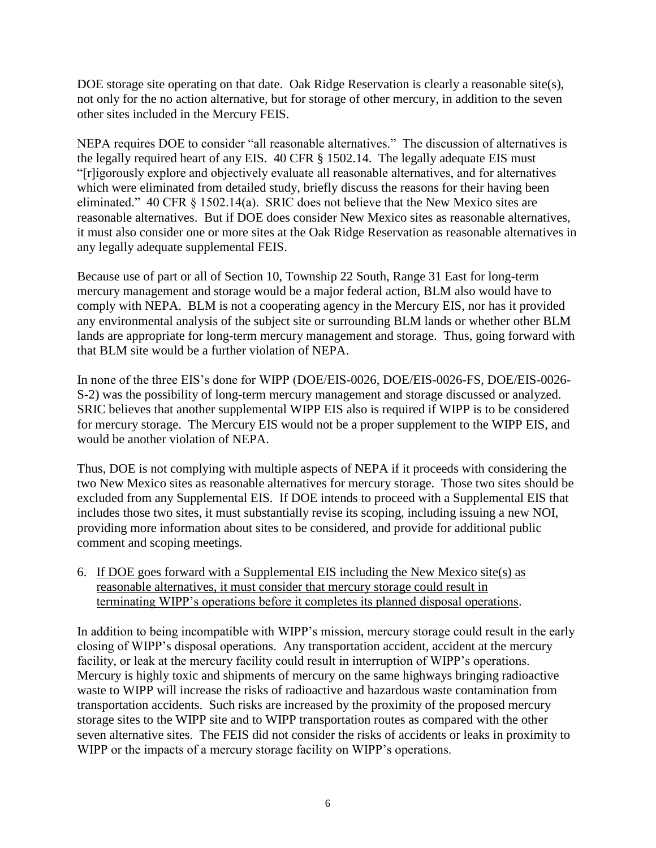DOE storage site operating on that date. Oak Ridge Reservation is clearly a reasonable site(s), not only for the no action alternative, but for storage of other mercury, in addition to the seven other sites included in the Mercury FEIS.

NEPA requires DOE to consider "all reasonable alternatives." The discussion of alternatives is the legally required heart of any EIS. 40 CFR § 1502.14. The legally adequate EIS must "[r]igorously explore and objectively evaluate all reasonable alternatives, and for alternatives which were eliminated from detailed study, briefly discuss the reasons for their having been eliminated." 40 CFR § 1502.14(a). SRIC does not believe that the New Mexico sites are reasonable alternatives. But if DOE does consider New Mexico sites as reasonable alternatives, it must also consider one or more sites at the Oak Ridge Reservation as reasonable alternatives in any legally adequate supplemental FEIS.

Because use of part or all of Section 10, Township 22 South, Range 31 East for long-term mercury management and storage would be a major federal action, BLM also would have to comply with NEPA. BLM is not a cooperating agency in the Mercury EIS, nor has it provided any environmental analysis of the subject site or surrounding BLM lands or whether other BLM lands are appropriate for long-term mercury management and storage. Thus, going forward with that BLM site would be a further violation of NEPA.

In none of the three EIS's done for WIPP (DOE/EIS-0026, DOE/EIS-0026-FS, DOE/EIS-0026- S-2) was the possibility of long-term mercury management and storage discussed or analyzed. SRIC believes that another supplemental WIPP EIS also is required if WIPP is to be considered for mercury storage. The Mercury EIS would not be a proper supplement to the WIPP EIS, and would be another violation of NEPA.

Thus, DOE is not complying with multiple aspects of NEPA if it proceeds with considering the two New Mexico sites as reasonable alternatives for mercury storage. Those two sites should be excluded from any Supplemental EIS. If DOE intends to proceed with a Supplemental EIS that includes those two sites, it must substantially revise its scoping, including issuing a new NOI, providing more information about sites to be considered, and provide for additional public comment and scoping meetings.

6. If DOE goes forward with a Supplemental EIS including the New Mexico site(s) as reasonable alternatives, it must consider that mercury storage could result in terminating WIPP's operations before it completes its planned disposal operations.

In addition to being incompatible with WIPP's mission, mercury storage could result in the early closing of WIPP's disposal operations. Any transportation accident, accident at the mercury facility, or leak at the mercury facility could result in interruption of WIPP's operations. Mercury is highly toxic and shipments of mercury on the same highways bringing radioactive waste to WIPP will increase the risks of radioactive and hazardous waste contamination from transportation accidents. Such risks are increased by the proximity of the proposed mercury storage sites to the WIPP site and to WIPP transportation routes as compared with the other seven alternative sites. The FEIS did not consider the risks of accidents or leaks in proximity to WIPP or the impacts of a mercury storage facility on WIPP's operations.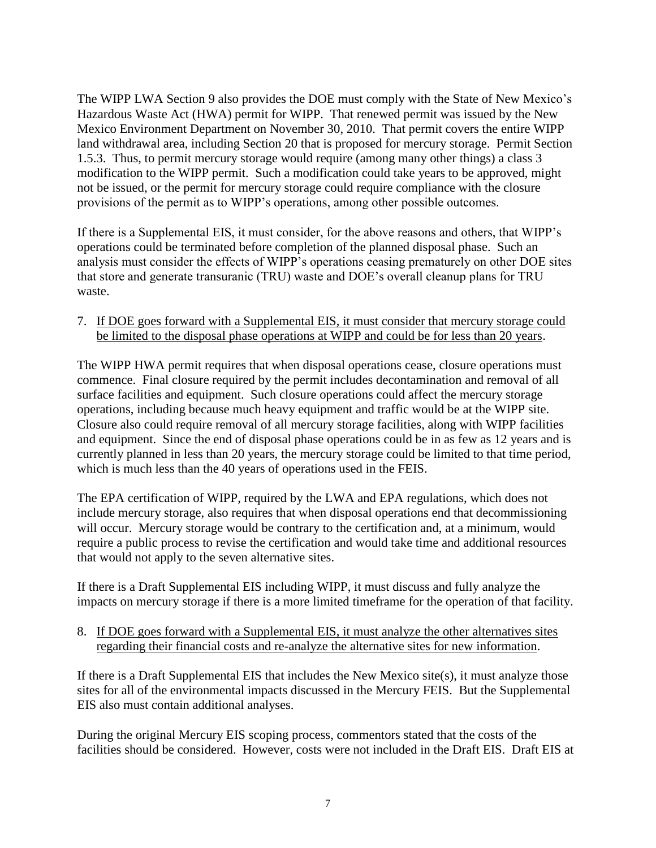The WIPP LWA Section 9 also provides the DOE must comply with the State of New Mexico's Hazardous Waste Act (HWA) permit for WIPP. That renewed permit was issued by the New Mexico Environment Department on November 30, 2010. That permit covers the entire WIPP land withdrawal area, including Section 20 that is proposed for mercury storage. Permit Section 1.5.3. Thus, to permit mercury storage would require (among many other things) a class 3 modification to the WIPP permit. Such a modification could take years to be approved, might not be issued, or the permit for mercury storage could require compliance with the closure provisions of the permit as to WIPP's operations, among other possible outcomes.

If there is a Supplemental EIS, it must consider, for the above reasons and others, that WIPP's operations could be terminated before completion of the planned disposal phase. Such an analysis must consider the effects of WIPP's operations ceasing prematurely on other DOE sites that store and generate transuranic (TRU) waste and DOE's overall cleanup plans for TRU waste.

7. If DOE goes forward with a Supplemental EIS, it must consider that mercury storage could be limited to the disposal phase operations at WIPP and could be for less than 20 years.

The WIPP HWA permit requires that when disposal operations cease, closure operations must commence. Final closure required by the permit includes decontamination and removal of all surface facilities and equipment. Such closure operations could affect the mercury storage operations, including because much heavy equipment and traffic would be at the WIPP site. Closure also could require removal of all mercury storage facilities, along with WIPP facilities and equipment. Since the end of disposal phase operations could be in as few as 12 years and is currently planned in less than 20 years, the mercury storage could be limited to that time period, which is much less than the 40 years of operations used in the FEIS.

The EPA certification of WIPP, required by the LWA and EPA regulations, which does not include mercury storage, also requires that when disposal operations end that decommissioning will occur. Mercury storage would be contrary to the certification and, at a minimum, would require a public process to revise the certification and would take time and additional resources that would not apply to the seven alternative sites.

If there is a Draft Supplemental EIS including WIPP, it must discuss and fully analyze the impacts on mercury storage if there is a more limited timeframe for the operation of that facility.

## 8. If DOE goes forward with a Supplemental EIS, it must analyze the other alternatives sites regarding their financial costs and re-analyze the alternative sites for new information.

If there is a Draft Supplemental EIS that includes the New Mexico site(s), it must analyze those sites for all of the environmental impacts discussed in the Mercury FEIS. But the Supplemental EIS also must contain additional analyses.

During the original Mercury EIS scoping process, commentors stated that the costs of the facilities should be considered. However, costs were not included in the Draft EIS. Draft EIS at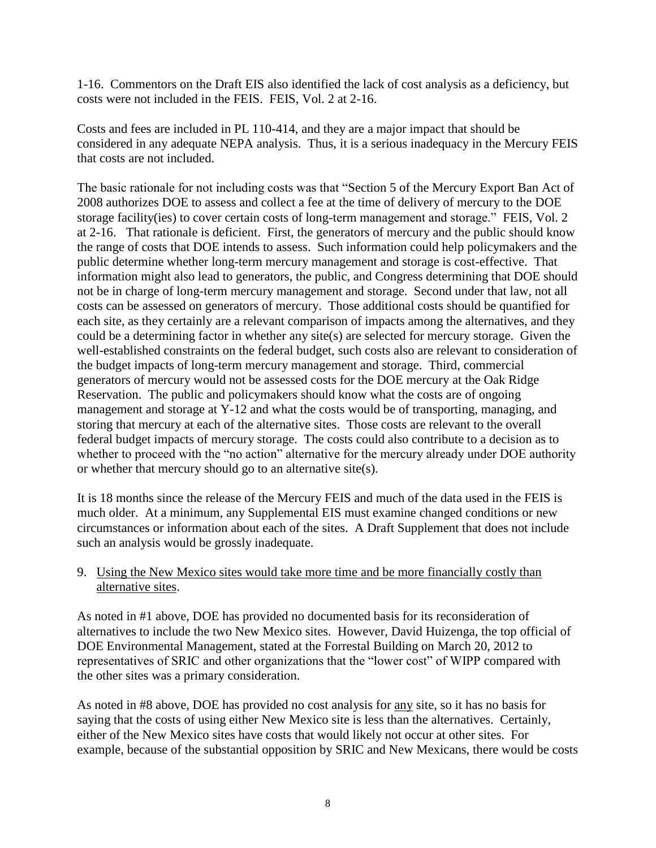1-16. Commentors on the Draft EIS also identified the lack of cost analysis as a deficiency, but costs were not included in the FEIS. FEIS, Vol. 2 at 2-16.

Costs and fees are included in PL 110-414, and they are a major impact that should be considered in any adequate NEPA analysis. Thus, it is a serious inadequacy in the Mercury FEIS that costs are not included.

The basic rationale for not including costs was that "Section 5 of the Mercury Export Ban Act of 2008 authorizes DOE to assess and collect a fee at the time of delivery of mercury to the DOE storage facility(ies) to cover certain costs of long-term management and storage." FEIS, Vol. 2 at 2-16. That rationale is deficient. First, the generators of mercury and the public should know the range of costs that DOE intends to assess. Such information could help policymakers and the public determine whether long-term mercury management and storage is cost-effective. That information might also lead to generators, the public, and Congress determining that DOE should not be in charge of long-term mercury management and storage. Second under that law, not all costs can be assessed on generators of mercury. Those additional costs should be quantified for each site, as they certainly are a relevant comparison of impacts among the alternatives, and they could be a determining factor in whether any site(s) are selected for mercury storage. Given the well-established constraints on the federal budget, such costs also are relevant to consideration of the budget impacts of long-term mercury management and storage. Third, commercial generators of mercury would not be assessed costs for the DOE mercury at the Oak Ridge Reservation. The public and policymakers should know what the costs are of ongoing management and storage at Y-12 and what the costs would be of transporting, managing, and storing that mercury at each of the alternative sites. Those costs are relevant to the overall federal budget impacts of mercury storage. The costs could also contribute to a decision as to whether to proceed with the "no action" alternative for the mercury already under DOE authority or whether that mercury should go to an alternative site(s).

It is 18 months since the release of the Mercury FEIS and much of the data used in the FEIS is much older. At a minimum, any Supplemental EIS must examine changed conditions or new circumstances or information about each of the sites. A Draft Supplement that does not include such an analysis would be grossly inadequate.

### 9. Using the New Mexico sites would take more time and be more financially costly than alternative sites.

As noted in #1 above, DOE has provided no documented basis for its reconsideration of alternatives to include the two New Mexico sites. However, David Huizenga, the top official of DOE Environmental Management, stated at the Forrestal Building on March 20, 2012 to representatives of SRIC and other organizations that the "lower cost" of WIPP compared with the other sites was a primary consideration.

As noted in #8 above, DOE has provided no cost analysis for any site, so it has no basis for saying that the costs of using either New Mexico site is less than the alternatives. Certainly, either of the New Mexico sites have costs that would likely not occur at other sites. For example, because of the substantial opposition by SRIC and New Mexicans, there would be costs